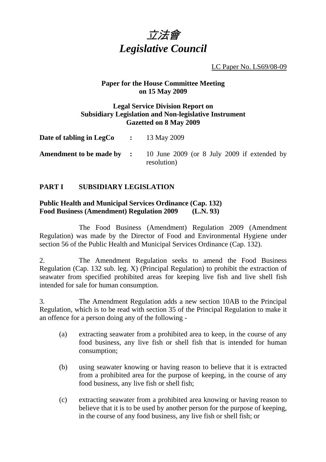

LC Paper No. LS69/08-09

## **Paper for the House Committee Meeting on 15 May 2009**

#### **Legal Service Division Report on Subsidiary Legislation and Non-legislative Instrument Gazetted on 8 May 2009**

| Date of tabling in LegCo |  | 13 May 2009 |
|--------------------------|--|-------------|
|--------------------------|--|-------------|

**Amendment to be made by :** 10 June 2009 (or 8 July 2009 if extended by resolution)

# **PART I SUBSIDIARY LEGISLATION**

# **Public Health and Municipal Services Ordinance (Cap. 132) Food Business (Amendment) Regulation 2009 (L.N. 93)**

 The Food Business (Amendment) Regulation 2009 (Amendment Regulation) was made by the Director of Food and Environmental Hygiene under section 56 of the Public Health and Municipal Services Ordinance (Cap. 132).

2. The Amendment Regulation seeks to amend the Food Business Regulation (Cap. 132 sub. leg. X) (Principal Regulation) to prohibit the extraction of seawater from specified prohibited areas for keeping live fish and live shell fish intended for sale for human consumption.

3. The Amendment Regulation adds a new section 10AB to the Principal Regulation, which is to be read with section 35 of the Principal Regulation to make it an offence for a person doing any of the following -

- (a) extracting seawater from a prohibited area to keep, in the course of any food business, any live fish or shell fish that is intended for human consumption;
- (b) using seawater knowing or having reason to believe that it is extracted from a prohibited area for the purpose of keeping, in the course of any food business, any live fish or shell fish;
- (c) extracting seawater from a prohibited area knowing or having reason to believe that it is to be used by another person for the purpose of keeping, in the course of any food business, any live fish or shell fish; or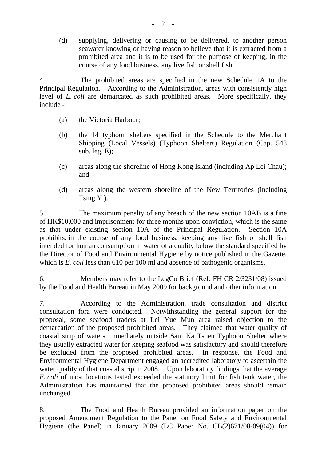(d) supplying, delivering or causing to be delivered, to another person seawater knowing or having reason to believe that it is extracted from a prohibited area and it is to be used for the purpose of keeping, in the course of any food business, any live fish or shell fish.

4. The prohibited areas are specified in the new Schedule 1A to the Principal Regulation. According to the Administration, areas with consistently high level of *E. coli* are demarcated as such prohibited areas. More specifically, they include -

- (a) the Victoria Harbour;
- (b) the 14 typhoon shelters specified in the Schedule to the Merchant Shipping (Local Vessels) (Typhoon Shelters) Regulation (Cap. 548 sub. leg. E);
- (c) areas along the shoreline of Hong Kong Island (including Ap Lei Chau); and
- (d) areas along the western shoreline of the New Territories (including Tsing Yi).

5. The maximum penalty of any breach of the new section 10AB is a fine of HK\$10,000 and imprisonment for three months upon conviction, which is the same as that under existing section 10A of the Principal Regulation. Section 10A prohibits, in the course of any food business, keeping any live fish or shell fish intended for human consumption in water of a quality below the standard specified by the Director of Food and Environmental Hygiene by notice published in the Gazette, which is *E. coli* less than 610 per 100 ml and absence of pathogenic organisms.

6. Members may refer to the LegCo Brief (Ref: FH CR 2/3231/08) issued by the Food and Health Bureau in May 2009 for background and other information.

7. According to the Administration, trade consultation and district consultation fora were conducted. Notwithstanding the general support for the proposal, some seafood traders at Lei Yue Mun area raised objection to the demarcation of the proposed prohibited areas. They claimed that water quality of coastal strip of waters immediately outside Sam Ka Tsuen Typhoon Shelter where they usually extracted water for keeping seafood was satisfactory and should therefore be excluded from the proposed prohibited areas. In response, the Food and Environmental Hygiene Department engaged an accredited laboratory to ascertain the water quality of that coastal strip in 2008. Upon laboratory findings that the average *E. coli* of most locations tested exceeded the statutory limit for fish tank water, the Administration has maintained that the proposed prohibited areas should remain unchanged.

8. The Food and Health Bureau provided an information paper on the proposed Amendment Regulation to the Panel on Food Safety and Environmental Hygiene (the Panel) in January 2009 (LC Paper No. CB(2)671/08-09(04)) for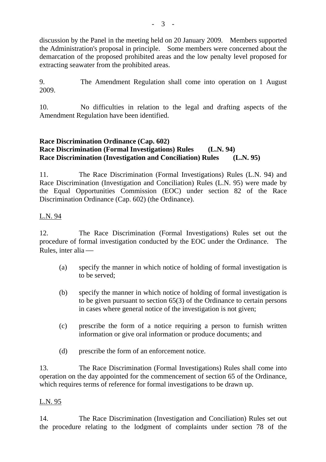discussion by the Panel in the meeting held on 20 January 2009. Members supported the Administration's proposal in principle. Some members were concerned about the demarcation of the proposed prohibited areas and the low penalty level proposed for extracting seawater from the prohibited areas.

9. The Amendment Regulation shall come into operation on 1 August 2009.

10. No difficulties in relation to the legal and drafting aspects of the Amendment Regulation have been identified.

# **Race Discrimination Ordinance (Cap. 602) Race Discrimination (Formal Investigations) Rules (L.N. 94) Race Discrimination (Investigation and Conciliation) Rules (L.N. 95)**

11. The Race Discrimination (Formal Investigations) Rules (L.N. 94) and Race Discrimination (Investigation and Conciliation) Rules (L.N. 95) were made by the Equal Opportunities Commission (EOC) under section 82 of the Race Discrimination Ordinance (Cap. 602) (the Ordinance).

# L.N. 94

12. The Race Discrimination (Formal Investigations) Rules set out the procedure of formal investigation conducted by the EOC under the Ordinance. The Rules, inter alia $-$ 

- (a) specify the manner in which notice of holding of formal investigation is to be served;
- (b) specify the manner in which notice of holding of formal investigation is to be given pursuant to section 65(3) of the Ordinance to certain persons in cases where general notice of the investigation is not given;
- (c) prescribe the form of a notice requiring a person to furnish written information or give oral information or produce documents; and
- (d) prescribe the form of an enforcement notice.

13. The Race Discrimination (Formal Investigations) Rules shall come into operation on the day appointed for the commencement of section 65 of the Ordinance, which requires terms of reference for formal investigations to be drawn up.

## L.N. 95

14. The Race Discrimination (Investigation and Conciliation) Rules set out the procedure relating to the lodgment of complaints under section 78 of the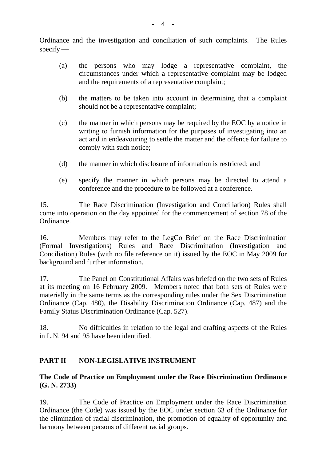Ordinance and the investigation and conciliation of such complaints. The Rules  $specify$  —

- (a) the persons who may lodge a representative complaint, the circumstances under which a representative complaint may be lodged and the requirements of a representative complaint;
- (b) the matters to be taken into account in determining that a complaint should not be a representative complaint;
- (c) the manner in which persons may be required by the EOC by a notice in writing to furnish information for the purposes of investigating into an act and in endeavouring to settle the matter and the offence for failure to comply with such notice;
- (d) the manner in which disclosure of information is restricted; and
- (e) specify the manner in which persons may be directed to attend a conference and the procedure to be followed at a conference.

15. The Race Discrimination (Investigation and Conciliation) Rules shall come into operation on the day appointed for the commencement of section 78 of the Ordinance.

16. Members may refer to the LegCo Brief on the Race Discrimination (Formal Investigations) Rules and Race Discrimination (Investigation and Conciliation) Rules (with no file reference on it) issued by the EOC in May 2009 for background and further information.

17. The Panel on Constitutional Affairs was briefed on the two sets of Rules at its meeting on 16 February 2009. Members noted that both sets of Rules were materially in the same terms as the corresponding rules under the Sex Discrimination Ordinance (Cap. 480), the Disability Discrimination Ordinance (Cap. 487) and the Family Status Discrimination Ordinance (Cap. 527).

18. No difficulties in relation to the legal and drafting aspects of the Rules in L.N. 94 and 95 have been identified.

## **PART II NON-LEGISLATIVE INSTRUMENT**

# **The Code of Practice on Employment under the Race Discrimination Ordinance (G. N. 2733)**

19. The Code of Practice on Employment under the Race Discrimination Ordinance (the Code) was issued by the EOC under section 63 of the Ordinance for the elimination of racial discrimination, the promotion of equality of opportunity and harmony between persons of different racial groups.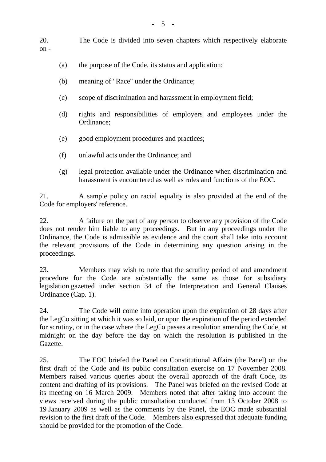20. The Code is divided into seven chapters which respectively elaborate on -

- (a) the purpose of the Code, its status and application;
- (b) meaning of "Race" under the Ordinance;
- (c) scope of discrimination and harassment in employment field;
- (d) rights and responsibilities of employers and employees under the Ordinance;
- (e) good employment procedures and practices;
- (f) unlawful acts under the Ordinance; and
- (g) legal protection available under the Ordinance when discrimination and harassment is encountered as well as roles and functions of the EOC.

21. A sample policy on racial equality is also provided at the end of the Code for employers' reference.

22. A failure on the part of any person to observe any provision of the Code does not render him liable to any proceedings. But in any proceedings under the Ordinance, the Code is admissible as evidence and the court shall take into account the relevant provisions of the Code in determining any question arising in the proceedings.

23. Members may wish to note that the scrutiny period of and amendment procedure for the Code are substantially the same as those for subsidiary legislation gazetted under section 34 of the Interpretation and General Clauses Ordinance (Cap. 1).

24. The Code will come into operation upon the expiration of 28 days after the LegCo sitting at which it was so laid, or upon the expiration of the period extended for scrutiny, or in the case where the LegCo passes a resolution amending the Code, at midnight on the day before the day on which the resolution is published in the Gazette.

25. The EOC briefed the Panel on Constitutional Affairs (the Panel) on the first draft of the Code and its public consultation exercise on 17 November 2008. Members raised various queries about the overall approach of the draft Code, its content and drafting of its provisions. The Panel was briefed on the revised Code at its meeting on 16 March 2009. Members noted that after taking into account the views received during the public consultation conducted from 13 October 2008 to 19 January 2009 as well as the comments by the Panel, the EOC made substantial revision to the first draft of the Code. Members also expressed that adequate funding should be provided for the promotion of the Code.